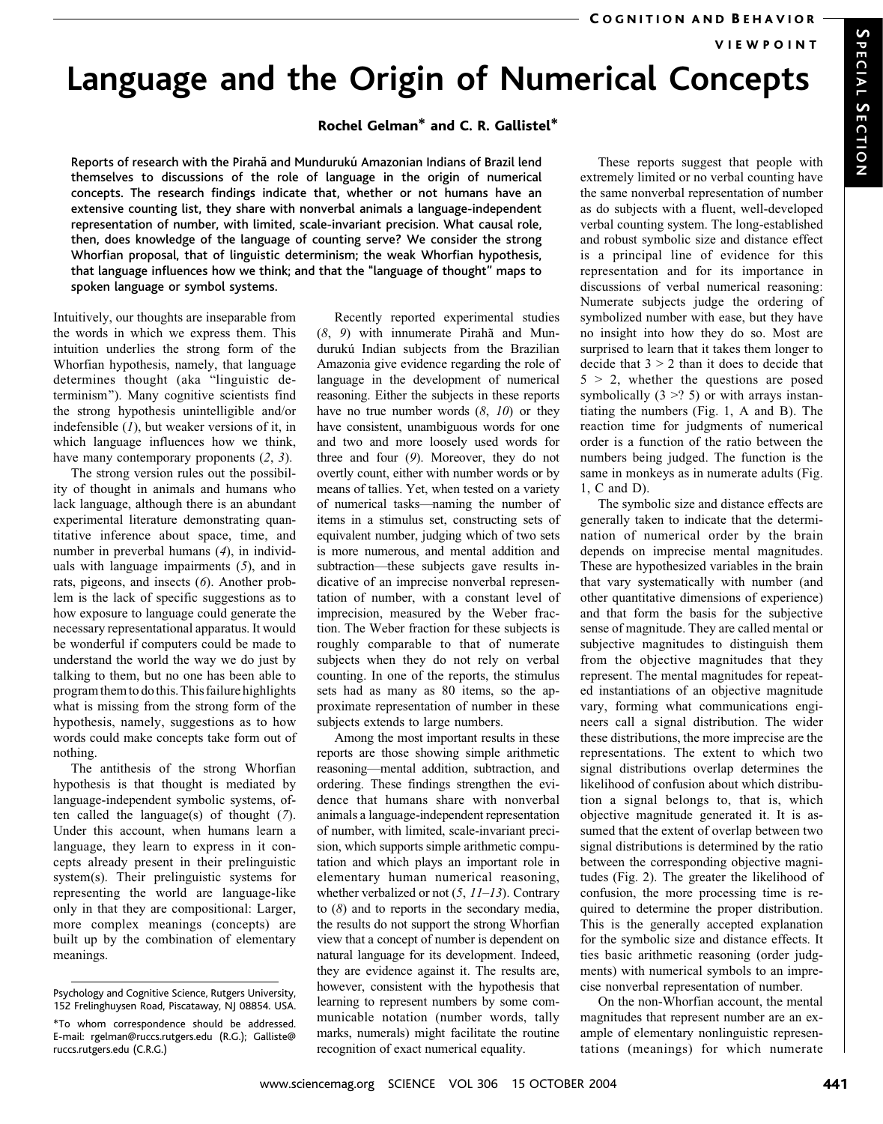# Language and the Origin of Numerical Concepts

Rochel Gelman\* and C. R. Gallistel\*

Reports of research with the Piraha and Munduruku
Amazonian Indians of Brazil lend themselves to discussions of the role of language in the origin of numerical concepts. The research findings indicate that, whether or not humans have an extensive counting list, they share with nonverbal animals a language-independent representation of number, with limited, scale-invariant precision. What causal role, then, does knowledge of the language of counting serve? We consider the strong Whorfian proposal, that of linguistic determinism; the weak Whorfian hypothesis, that language influences how we think; and that the ''language of thought'' maps to spoken language or symbol systems.

Intuitively, our thoughts are inseparable from the words in which we express them. This intuition underlies the strong form of the Whorfian hypothesis, namely, that language determines thought (aka "linguistic determinism"). Many cognitive scientists find the strong hypothesis unintelligible and/or indefensible  $(1)$ , but weaker versions of it, in which language influences how we think, have many contemporary proponents  $(2, 3)$ .

The strong version rules out the possibility of thought in animals and humans who lack language, although there is an abundant experimental literature demonstrating quantitative inference about space, time, and number in preverbal humans (4), in individuals with language impairments (5), and in rats, pigeons, and insects (6). Another problem is the lack of specific suggestions as to how exposure to language could generate the necessary representational apparatus. It would be wonderful if computers could be made to understand the world the way we do just by talking to them, but no one has been able to program them to do this. This failure highlights what is missing from the strong form of the hypothesis, namely, suggestions as to how words could make concepts take form out of nothing.

The antithesis of the strong Whorfian hypothesis is that thought is mediated by language-independent symbolic systems, often called the language(s) of thought (7). Under this account, when humans learn a language, they learn to express in it concepts already present in their prelinguistic system(s). Their prelinguistic systems for representing the world are language-like only in that they are compositional: Larger, more complex meanings (concepts) are built up by the combination of elementary meanings.

Recently reported experimental studies  $(8, 9)$  with innumerate Pirahã and Mundurukú Indian subjects from the Brazilian Amazonia give evidence regarding the role of language in the development of numerical reasoning. Either the subjects in these reports have no true number words  $(8, 10)$  or they have consistent, unambiguous words for one and two and more loosely used words for three and four (9). Moreover, they do not overtly count, either with number words or by means of tallies. Yet, when tested on a variety of numerical tasks—naming the number of items in a stimulus set, constructing sets of equivalent number, judging which of two sets is more numerous, and mental addition and subtraction—these subjects gave results indicative of an imprecise nonverbal representation of number, with a constant level of imprecision, measured by the Weber fraction. The Weber fraction for these subjects is roughly comparable to that of numerate subjects when they do not rely on verbal counting. In one of the reports, the stimulus sets had as many as 80 items, so the approximate representation of number in these subjects extends to large numbers.

Among the most important results in these reports are those showing simple arithmetic reasoning—mental addition, subtraction, and ordering. These findings strengthen the evidence that humans share with nonverbal animals a language-independent representation of number, with limited, scale-invariant precision, which supports simple arithmetic computation and which plays an important role in elementary human numerical reasoning, whether verbalized or not  $(5, 11-13)$ . Contrary to (8) and to reports in the secondary media, the results do not support the strong Whorfian view that a concept of number is dependent on natural language for its development. Indeed, they are evidence against it. The results are, however, consistent with the hypothesis that learning to represent numbers by some communicable notation (number words, tally marks, numerals) might facilitate the routine recognition of exact numerical equality.

These reports suggest that people with extremely limited or no verbal counting have the same nonverbal representation of number as do subjects with a fluent, well-developed verbal counting system. The long-established and robust symbolic size and distance effect is a principal line of evidence for this representation and for its importance in discussions of verbal numerical reasoning: Numerate subjects judge the ordering of symbolized number with ease, but they have no insight into how they do so. Most are surprised to learn that it takes them longer to decide that  $3 > 2$  than it does to decide that  $5 > 2$ , whether the questions are posed symbolically  $(3 \geq ? 5)$  or with arrays instantiating the numbers (Fig. 1, A and B). The reaction time for judgments of numerical order is a function of the ratio between the numbers being judged. The function is the same in monkeys as in numerate adults (Fig. 1, C and D).

The symbolic size and distance effects are generally taken to indicate that the determination of numerical order by the brain depends on imprecise mental magnitudes. These are hypothesized variables in the brain that vary systematically with number (and other quantitative dimensions of experience) and that form the basis for the subjective sense of magnitude. They are called mental or subjective magnitudes to distinguish them from the objective magnitudes that they represent. The mental magnitudes for repeated instantiations of an objective magnitude vary, forming what communications engineers call a signal distribution. The wider these distributions, the more imprecise are the representations. The extent to which two signal distributions overlap determines the likelihood of confusion about which distribution a signal belongs to, that is, which objective magnitude generated it. It is assumed that the extent of overlap between two signal distributions is determined by the ratio between the corresponding objective magnitudes (Fig. 2). The greater the likelihood of confusion, the more processing time is required to determine the proper distribution. This is the generally accepted explanation for the symbolic size and distance effects. It ties basic arithmetic reasoning (order judgments) with numerical symbols to an imprecise nonverbal representation of number.

On the non-Whorfian account, the mental magnitudes that represent number are an example of elementary nonlinguistic representations (meanings) for which numerate

Psychology and Cognitive Science, Rutgers University, 152 Frelinghuysen Road, Piscataway, NJ 08854. USA.

<sup>\*</sup>To whom correspondence should be addressed. E-mail: rgelman@ruccs.rutgers.edu (R.G.); Galliste@ ruccs.rutgers.edu (C.R.G.)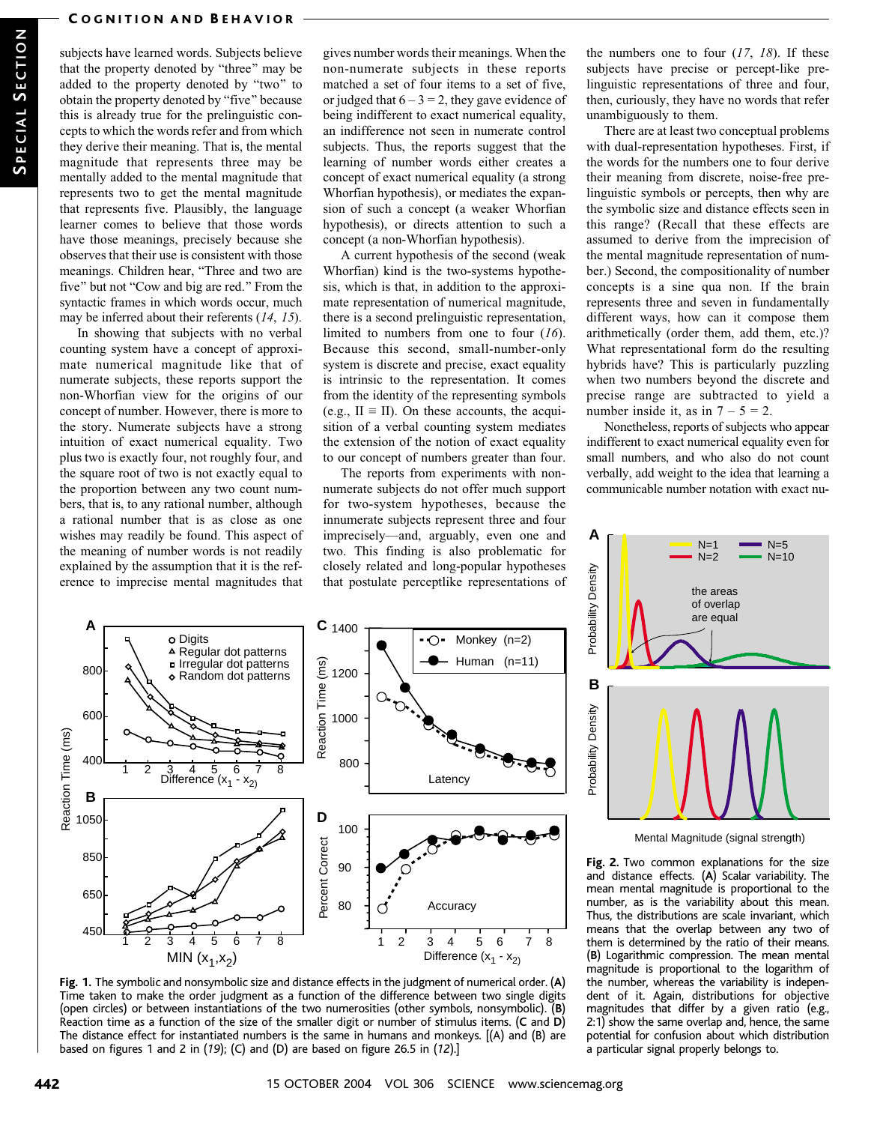#### **COGNITION AND BEHAVIOR**

subjects have learned words. Subjects believe that the property denoted by "three" may be added to the property denoted by "two" to obtain the property denoted by "five" because this is already true for the prelinguistic concepts to which the words refer and from which they derive their meaning. That is, the mental magnitude that represents three may be mentally added to the mental magnitude that represents two to get the mental magnitude that represents five. Plausibly, the language learner comes to believe that those words have those meanings, precisely because she observes that their use is consistent with those meanings. Children hear, "Three and two are five" but not "Cow and big are red." From the syntactic frames in which words occur, much may be inferred about their referents (14, 15).

In showing that subjects with no verbal counting system have a concept of approximate numerical magnitude like that of numerate subjects, these reports support the non-Whorfian view for the origins of our concept of number. However, there is more to the story. Numerate subjects have a strong intuition of exact numerical equality. Two plus two is exactly four, not roughly four, and the square root of two is not exactly equal to the proportion between any two count numbers, that is, to any rational number, although a rational number that is as close as one wishes may readily be found. This aspect of the meaning of number words is not readily explained by the assumption that it is the reference to imprecise mental magnitudes that

gives number words their meanings. When the non-numerate subjects in these reports matched a set of four items to a set of five, or judged that  $6 - 3 = 2$ , they gave evidence of being indifferent to exact numerical equality, an indifference not seen in numerate control subjects. Thus, the reports suggest that the learning of number words either creates a concept of exact numerical equality (a strong Whorfian hypothesis), or mediates the expansion of such a concept (a weaker Whorfian hypothesis), or directs attention to such a concept (a non-Whorfian hypothesis).

A current hypothesis of the second (weak Whorfian) kind is the two-systems hypothesis, which is that, in addition to the approximate representation of numerical magnitude, there is a second prelinguistic representation, limited to numbers from one to four  $(16)$ . Because this second, small-number-only system is discrete and precise, exact equality is intrinsic to the representation. It comes from the identity of the representing symbols (e.g.,  $II \equiv II$ ). On these accounts, the acquisition of a verbal counting system mediates the extension of the notion of exact equality to our concept of numbers greater than four.

The reports from experiments with nonnumerate subjects do not offer much support for two-system hypotheses, because the innumerate subjects represent three and four imprecisely—and, arguably, even one and two. This finding is also problematic for closely related and long-popular hypotheses that postulate perceptlike representations of the numbers one to four  $(17, 18)$ . If these subjects have precise or percept-like prelinguistic representations of three and four, then, curiously, they have no words that refer unambiguously to them.

There are at least two conceptual problems with dual-representation hypotheses. First, if the words for the numbers one to four derive their meaning from discrete, noise-free prelinguistic symbols or percepts, then why are the symbolic size and distance effects seen in this range? (Recall that these effects are assumed to derive from the imprecision of the mental magnitude representation of number.) Second, the compositionality of number concepts is a sine qua non. If the brain represents three and seven in fundamentally different ways, how can it compose them arithmetically (order them, add them, etc.)? What representational form do the resulting hybrids have? This is particularly puzzling when two numbers beyond the discrete and precise range are subtracted to yield a number inside it, as in  $7 - 5 = 2$ .

Nonetheless, reports of subjects who appear indifferent to exact numerical equality even for small numbers, and who also do not count verbally, add weight to the idea that learning a communicable number notation with exact nu-



Fig. 1. The symbolic and nonsymbolic size and distance effects in the judgment of numerical order. (A) Time taken to make the order judgment as a function of the difference between two single digits (open circles) or between instantiations of the two numerosities (other symbols, nonsymbolic). (B) Reaction time as a function of the size of the smaller digit or number of stimulus items. (C and D) The distance effect for instantiated numbers is the same in humans and monkeys. [(A) and (B) are based on figures 1 and 2 in (19); (C) and (D) are based on figure 26.5 in (12).]



Fig. 2. Two common explanations for the size and distance effects. (A) Scalar variability. The mean mental magnitude is proportional to the number, as is the variability about this mean. Thus, the distributions are scale invariant, which means that the overlap between any two of them is determined by the ratio of their means. (B) Logarithmic compression. The mean mental magnitude is proportional to the logarithm of the number, whereas the variability is independent of it. Again, distributions for objective magnitudes that differ by a given ratio (e.g., 2:1) show the same overlap and, hence, the same potential for confusion about which distribution a particular signal properly belongs to.